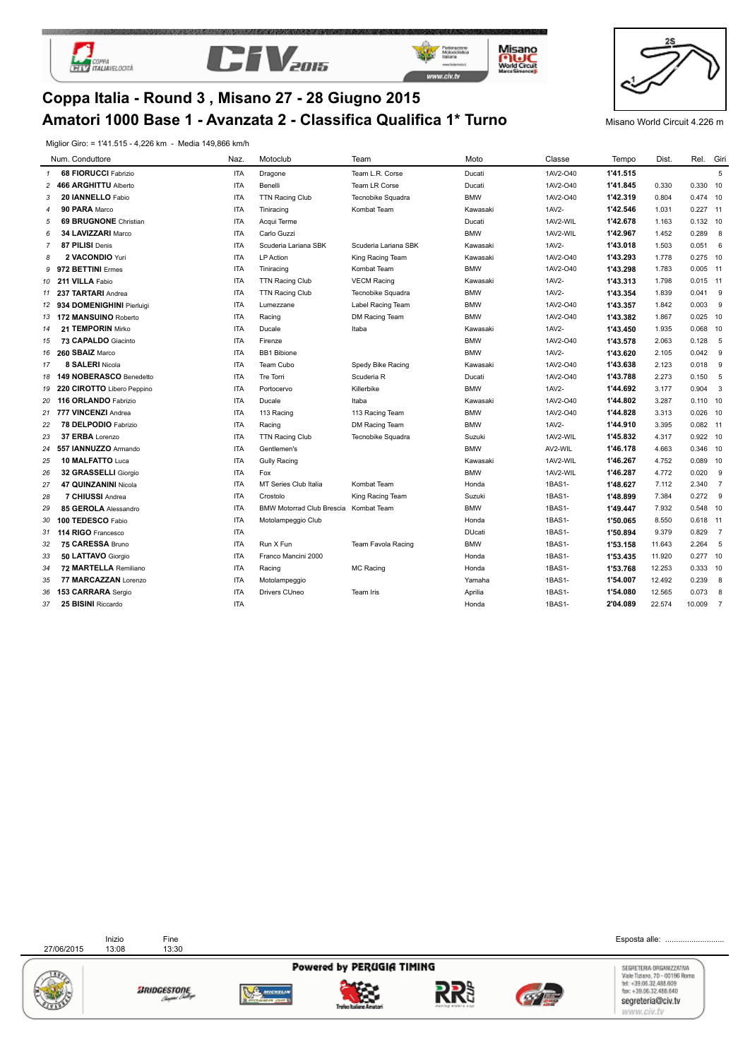





**Misano<br>Morki Creat<br>Morki Creat** 



# **Amatori 1000 Base 1 - Avanzata 2 - Classifica Qualifica 1\* Turno** Misano World Circuit 4.226 m **Coppa Italia - Round 3 , Misano 27 - 28 Giugno 2015**

Miglior Giro: = 1'41.515 - 4,226 km - Media 149,866 km/h

|                | Num. Conduttore              | Naz.       | Motoclub                         | Team                 | Moto          | Classe   | Tempo    | Dist.  | Rel. Giri  |                |
|----------------|------------------------------|------------|----------------------------------|----------------------|---------------|----------|----------|--------|------------|----------------|
| 1              | <b>68 FIORUCCI Fabrizio</b>  | <b>ITA</b> | Dragone                          | Team L.R. Corse      | Ducati        | 1AV2-O40 | 1'41.515 |        |            | 5              |
| $\overline{c}$ | 466 ARGHITTU Alberto         | <b>ITA</b> | Benelli                          | Team LR Corse        | Ducati        | 1AV2-O40 | 1'41.845 | 0.330  | 0.330 10   |                |
| 3              | 20 IANNELLO Fabio            | <b>ITA</b> | <b>TTN Racing Club</b>           | Tecnobike Squadra    | <b>BMW</b>    | 1AV2-O40 | 1'42.319 | 0.804  | 0.474 10   |                |
| 4              | 90 PARA Marco                | <b>ITA</b> | Tiniracing                       | Kombat Team          | Kawasaki      | 1AV2-    | 1'42.546 | 1.031  | $0.227$ 11 |                |
| 5              | <b>69 BRUGNONE</b> Christian | <b>ITA</b> | Acqui Terme                      |                      | Ducati        | 1AV2-WIL | 1'42.678 | 1.163  | $0.132$ 10 |                |
| 6              | 34 LAVIZZARI Marco           | <b>ITA</b> | Carlo Guzzi                      |                      | <b>BMW</b>    | 1AV2-WIL | 1'42.967 | 1.452  | 0.289 8    |                |
| 7              | 87 PILISI Denis              | <b>ITA</b> | Scuderia Lariana SBK             | Scuderia Lariana SBK | Kawasaki      | 1AV2-    | 1'43.018 | 1.503  | $0.051$ 6  |                |
| 8              | 2 VACONDIO Yuri              | <b>ITA</b> | <b>LP</b> Action                 | King Racing Team     | Kawasaki      | 1AV2-O40 | 1'43.293 | 1.778  | $0.275$ 10 |                |
| g              | 972 BETTINI Ermes            | <b>ITA</b> | Tiniracing                       | Kombat Team          | <b>BMW</b>    | 1AV2-O40 | 1'43.298 | 1.783  | $0.005$ 11 |                |
| 10             | 211 VILLA Fabio              | <b>ITA</b> | TTN Racing Club                  | <b>VECM Racing</b>   | Kawasaki      | 1AV2-    | 1'43.313 | 1.798  | $0.015$ 11 |                |
| 11             | 237 TARTARI Andrea           | <b>ITA</b> | <b>TTN Racing Club</b>           | Tecnobike Squadra    | <b>BMW</b>    | 1AV2-    | 1'43.354 | 1.839  | $0.041$ 9  |                |
| 12             | 934 DOMENIGHINI Pierluigi    | <b>ITA</b> | Lumezzane                        | Label Racing Team    | <b>BMW</b>    | 1AV2-O40 | 1'43.357 | 1.842  | $0.003$ 9  |                |
| 13             | 172 MANSUINO Roberto         | <b>ITA</b> | Racing                           | DM Racing Team       | <b>BMW</b>    | 1AV2-O40 | 1'43.382 | 1.867  | $0.025$ 10 |                |
| 14             | 21 TEMPORIN Mirko            | <b>ITA</b> | Ducale                           | Itaba                | Kawasaki      | 1AV2-    | 1'43.450 | 1.935  | 0.068 10   |                |
| 15             | 73 CAPALDO Giacinto          | <b>ITA</b> | Firenze                          |                      | <b>BMW</b>    | 1AV2-O40 | 1'43.578 | 2.063  | 0.128      | 5              |
| 16             | 260 SBAIZ Marco              | <b>ITA</b> | <b>BB1 Bibione</b>               |                      | <b>BMW</b>    | 1AV2-    | 1'43.620 | 2.105  | $0.042$ 9  |                |
| 17             | 8 SALERI Nicola              | <b>ITA</b> | Team Cubo                        | Spedy Bike Racing    | Kawasaki      | 1AV2-O40 | 1'43.638 | 2.123  | 0.018      | - 9            |
| 18             | 149 NOBERASCO Benedetto      | <b>ITA</b> | <b>Tre Torri</b>                 | Scuderia R           | Ducati        | 1AV2-O40 | 1'43.788 | 2.273  | 0.150      | - 5            |
| 19             | 220 CIROTTO Libero Peppino   | <b>ITA</b> | Portocervo                       | Killerbike           | <b>BMW</b>    | 1AV2-    | 1'44.692 | 3.177  | $0.904$ 3  |                |
| 20             | 116 ORLANDO Fabrizio         | <b>ITA</b> | Ducale                           | Itaba                | Kawasaki      | 1AV2-O40 | 1'44.802 | 3.287  | $0.110$ 10 |                |
| 21             | 777 VINCENZI Andrea          | <b>ITA</b> | 113 Racing                       | 113 Racing Team      | <b>BMW</b>    | 1AV2-O40 | 1'44.828 | 3.313  | $0.026$ 10 |                |
| 22             | 78 DELPODIO Fabrizio         | <b>ITA</b> | Racing                           | DM Racing Team       | <b>BMW</b>    | 1AV2-    | 1'44.910 | 3.395  | $0.082$ 11 |                |
| 23             | 37 ERBA Lorenzo              | <b>ITA</b> | <b>TTN Racing Club</b>           | Tecnobike Squadra    | Suzuki        | 1AV2-WIL | 1'45.832 | 4.317  | $0.922$ 10 |                |
| 24             | 557 IANNUZZO Armando         | <b>ITA</b> | Gentlemen's                      |                      | <b>BMW</b>    | AV2-WIL  | 1'46.178 | 4.663  | 0.346 10   |                |
| 25             | 10 MALFATTO Luca             | <b>ITA</b> | <b>Gully Racing</b>              |                      | Kawasaki      | 1AV2-WIL | 1'46.267 | 4.752  | 0.089 10   |                |
| 26             | 32 GRASSELLI Giorgio         | <b>ITA</b> | Fox                              |                      | <b>BMW</b>    | 1AV2-WIL | 1'46.287 | 4.772  | 0.020      | 9              |
| 27             | 47 QUINZANINI Nicola         | <b>ITA</b> | MT Series Club Italia            | Kombat Team          | Honda         | 1BAS1-   | 1'48.627 | 7.112  | 2.340      | $\overline{7}$ |
| 28             | 7 CHIUSSI Andrea             | <b>ITA</b> | Crostolo                         | King Racing Team     | Suzuki        | 1BAS1-   | 1'48.899 | 7.384  | $0.272$ 9  |                |
| 29             | 85 GEROLA Alessandro         | <b>ITA</b> | <b>BMW Motorrad Club Brescia</b> | Kombat Team          | <b>BMW</b>    | 1BAS1-   | 1'49.447 | 7.932  | 0.548 10   |                |
| 30             | 100 TEDESCO Fabio            | <b>ITA</b> | Motolampeggio Club               |                      | Honda         | 1BAS1-   | 1'50.065 | 8.550  | $0.618$ 11 |                |
| 31             | 114 RIGO Francesco           | <b>ITA</b> |                                  |                      | <b>DUcati</b> | 1BAS1-   | 1'50.894 | 9.379  | 0.829      | $\overline{7}$ |
| 32             | 75 CARESSA Bruno             | <b>ITA</b> | Run X Fun                        | Team Favola Racing   | <b>BMW</b>    | 1BAS1-   | 1'53.158 | 11.643 | 2.264      | 5              |
| 33             | 50 LATTAVO Giorgio           | <b>ITA</b> | Franco Mancini 2000              |                      | Honda         | 1BAS1-   | 1'53.435 | 11.920 | $0.277$ 10 |                |
| 34             | 72 MARTELLA Remiliano        | <b>ITA</b> | Racing                           | <b>MC Racing</b>     | Honda         | 1BAS1-   | 1'53.768 | 12.253 | 0.333 10   |                |
| 35             | 77 MARCAZZAN Lorenzo         | <b>ITA</b> | Motolampeggio                    |                      | Yamaha        | 1BAS1-   | 1'54.007 | 12.492 | 0.239      | 8              |
| 36             | 153 CARRARA Sergio           | <b>ITA</b> | Drivers CUneo                    | Team Iris            | Aprilia       | 1BAS1-   | 1'54.080 | 12.565 | 0.073      | 8              |
| 37             | 25 BISINI Riccardo           | <b>ITA</b> |                                  |                      | Honda         | 1BAS1-   | 2'04.089 | 22.574 | 10.009     | $\overline{7}$ |

| 27/06/2015 | Inizio<br>13:08 | Fine<br>13:30 |                        |                           |                     | Esposta alle:                                                                        |
|------------|-----------------|---------------|------------------------|---------------------------|---------------------|--------------------------------------------------------------------------------------|
|            |                 |               |                        | Powered by PERUGIA TIMING |                     | SEGRETERIA ORGANIZZATIVA<br>Viale Tiziano, 70 - 00196 Roma<br>tel: +39.06.32.488.609 |
|            |                 | SRIDGESTONE   | <b><i>MYCHELAN</i></b> | Treho Italiane Amatori    | inaving midwra cap. | fax: +39.06.32.488.640<br>segreteria@civ.tv<br>WWW.CIV.IV                            |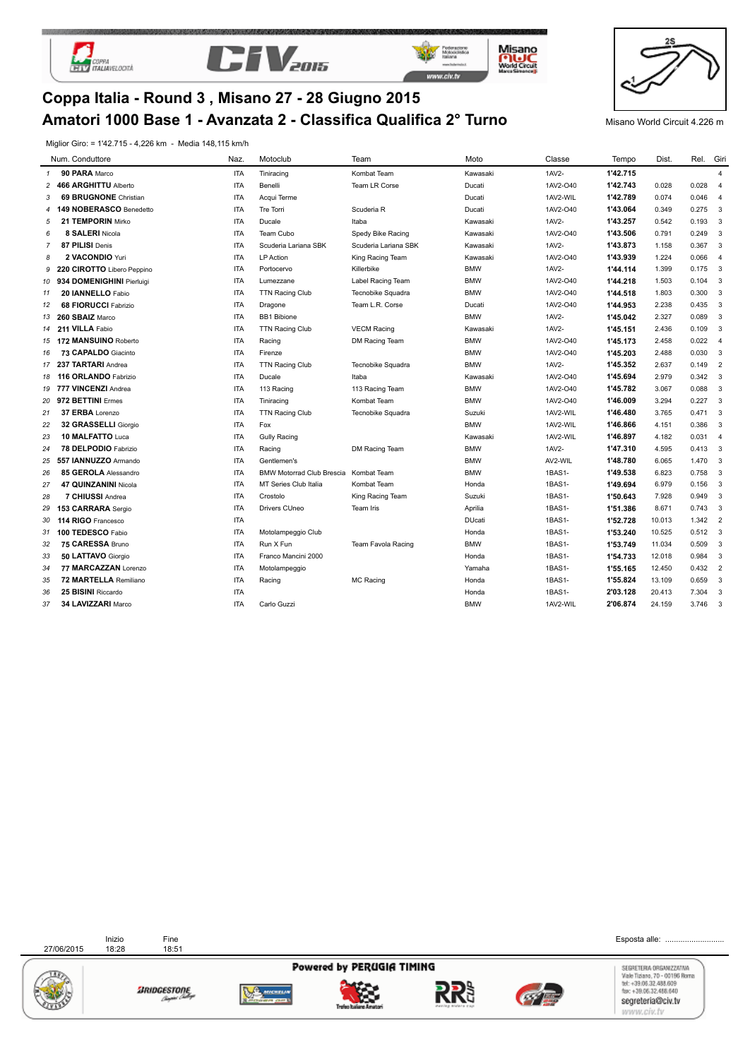





Misano<br>Mond Creat<br>Mond Creat



### **Amatori 1000 Base 1 - Avanzata 2 - Classifica Qualifica 2° Turno** Misano World Circuit 4.226 m **Coppa Italia - Round 3 , Misano 27 - 28 Giugno 2015**

Miglior Giro: = 1'42.715 - 4,226 km - Media 148,115 km/h

|                | Num. Conduttore              | Naz.       | Motoclub                         | Team                      | Moto          | Classe   | Tempo    | Dist.  | Rel.        | Giri                     |
|----------------|------------------------------|------------|----------------------------------|---------------------------|---------------|----------|----------|--------|-------------|--------------------------|
| $\mathbf{1}$   | 90 PARA Marco                | <b>ITA</b> | Tiniracing                       | Kombat Team               | Kawasaki      | 1AV2-    | 1'42.715 |        |             | $\overline{4}$           |
| 2              | 466 ARGHITTU Alberto         | <b>ITA</b> | Benelli                          | Team LR Corse             | Ducati        | 1AV2-O40 | 1'42.743 | 0.028  | 0.028       | $\overline{4}$           |
| 3              | <b>69 BRUGNONE</b> Christian | <b>ITA</b> | Acqui Terme                      |                           | Ducati        | 1AV2-WIL | 1'42.789 | 0.074  | 0.046       | $\overline{4}$           |
|                | 149 NOBERASCO Benedetto      | <b>ITA</b> | Tre Torri                        | Scuderia R                | Ducati        | 1AV2-O40 | 1'43.064 | 0.349  | 0.275       | $_{3}$                   |
| 5              | 21 TEMPORIN Mirko            | <b>ITA</b> | Ducale                           | Itaba                     | Kawasaki      | 1AV2-    | 1'43.257 | 0.542  | 0.193       | $_{3}$                   |
| 6              | 8 SALERI Nicola              | <b>ITA</b> | Team Cubo                        | Spedy Bike Racing         | Kawasaki      | 1AV2-O40 | 1'43.506 | 0.791  | 0.249       | $_{3}$                   |
| $\overline{7}$ | 87 PILISI Denis              | <b>ITA</b> | Scuderia Lariana SBK             | Scuderia Lariana SBK      | Kawasaki      | 1AV2-    | 1'43.873 | 1.158  | 0.367       | $_{3}$                   |
| 8              | 2 VACONDIO Yuri              | <b>ITA</b> | LP Action                        | King Racing Team          | Kawasaki      | 1AV2-O40 | 1'43.939 | 1.224  | 0.066       | $\overline{4}$           |
| 9              | 220 CIROTTO Libero Peppino   | <b>ITA</b> | Portocervo                       | Killerbike                | <b>BMW</b>    | 1AV2-    | 1'44.114 | 1.399  | $0.175 - 3$ |                          |
| 10             | 934 DOMENIGHINI Pierluigi    | <b>ITA</b> | Lumezzane                        | Label Racing Team         | <b>BMW</b>    | 1AV2-O40 | 1'44.218 | 1.503  | $0.104$ 3   |                          |
| 11             | 20 IANNELLO Fabio            | <b>ITA</b> | <b>TTN Racing Club</b>           | Tecnobike Squadra         | <b>BMW</b>    | 1AV2-O40 | 1'44.518 | 1.803  | 0.300       | $_{3}$                   |
| 12             | <b>68 FIORUCCI Fabrizio</b>  | <b>ITA</b> | Dragone                          | Team L.R. Corse           | Ducati        | 1AV2-O40 | 1'44.953 | 2.238  | 0.435       | $_{3}$                   |
| 13             | 260 SBAIZ Marco              | <b>ITA</b> | <b>BB1 Bibione</b>               |                           | <b>BMW</b>    | 1AV2-    | 1'45.042 | 2.327  | 0.089       | $_{3}$                   |
| 14             | 211 VILLA Fabio              | <b>ITA</b> | TTN Racing Club                  | <b>VECM Racing</b>        | Kawasaki      | 1AV2-    | 1'45.151 | 2.436  | 0.109       | $_{3}$                   |
| 15             | 172 MANSUINO Roberto         | <b>ITA</b> | Racing                           | DM Racing Team            | <b>BMW</b>    | 1AV2-O40 | 1'45.173 | 2.458  | $0.022$ 4   |                          |
| 16             | 73 CAPALDO Giacinto          | <b>ITA</b> | Firenze                          |                           | <b>BMW</b>    | 1AV2-O40 | 1'45.203 | 2.488  | 0.030       | $_{3}$                   |
| 17             | 237 TARTARI Andrea           | <b>ITA</b> | <b>TTN Racing Club</b>           | Tecnobike Squadra         | <b>BMW</b>    | 1AV2-    | 1'45.352 | 2.637  | $0.149$ 2   |                          |
| 18             | 116 ORLANDO Fabrizio         | <b>ITA</b> | Ducale                           | Itaba                     | Kawasaki      | 1AV2-O40 | 1'45.694 | 2.979  | $0.342$ 3   |                          |
| 19             | 777 VINCENZI Andrea          | <b>ITA</b> | 113 Racing                       | 113 Racing Team           | <b>BMW</b>    | 1AV2-O40 | 1'45.782 | 3.067  | 0.088       | $_{3}$                   |
| 20             | 972 BETTINI Ermes            | <b>ITA</b> | Tiniracing                       | Kombat Team               | <b>BMW</b>    | 1AV2-O40 | 1'46.009 | 3.294  | 0.227       | $_{3}$                   |
| 21             | 37 ERBA Lorenzo              | <b>ITA</b> | <b>TTN Racing Club</b>           | Tecnobike Squadra         | Suzuki        | 1AV2-WIL | 1'46.480 | 3.765  | $0.471$ 3   |                          |
| 22             | 32 GRASSELLI Giorgio         | <b>ITA</b> | Fox                              |                           | <b>BMW</b>    | 1AV2-WIL | 1'46.866 | 4.151  | 0.386       | $\overline{\mathbf{3}}$  |
| 23             | 10 MALFATTO Luca             | <b>ITA</b> | <b>Gully Racing</b>              |                           | Kawasaki      | 1AV2-WIL | 1'46.897 | 4.182  | 0.031 4     |                          |
| 24             | 78 DELPODIO Fabrizio         | <b>ITA</b> | Racing                           | DM Racing Team            | <b>BMW</b>    | 1AV2-    | 1'47.310 | 4.595  | $0.413$ 3   |                          |
| 25             | 557 IANNUZZO Armando         | <b>ITA</b> | Gentlemen's                      |                           | <b>BMW</b>    | AV2-WIL  | 1'48.780 | 6.065  | 1.470       | $_{3}$                   |
| 26             | 85 GEROLA Alessandro         | <b>ITA</b> | <b>BMW Motorrad Club Brescia</b> | Kombat Team               | <b>BMW</b>    | 1BAS1-   | 1'49.538 | 6.823  | 0.758       | $\overline{\phantom{a}}$ |
| 27             | 47 QUINZANINI Nicola         | <b>ITA</b> | MT Series Club Italia            | Kombat Team               | Honda         | 1BAS1-   | 1'49.694 | 6.979  | 0.156       | $\overline{\phantom{a}}$ |
| 28             | 7 CHIUSSI Andrea             | <b>ITA</b> | Crostolo                         | King Racing Team          | Suzuki        | 1BAS1-   | 1'50.643 | 7.928  | 0.949       | $\overline{\phantom{a}}$ |
| 29             | 153 CARRARA Sergio           | <b>ITA</b> | Drivers CUneo                    | Team Iris                 | Aprilia       | 1BAS1-   | 1'51.386 | 8.671  | $0.743$ 3   |                          |
| 30             | 114 RIGO Francesco           | <b>ITA</b> |                                  |                           | <b>DUcati</b> | 1BAS1-   | 1'52.728 | 10.013 | 1.342 2     |                          |
| 31             | 100 TEDESCO Fabio            | <b>ITA</b> | Motolampeggio Club               |                           | Honda         | 1BAS1-   | 1'53.240 | 10.525 | $0.512$ 3   |                          |
| 32             | 75 CARESSA Bruno             | <b>ITA</b> | Run X Fun                        | <b>Team Favola Racing</b> | <b>BMW</b>    | 1BAS1-   | 1'53.749 | 11.034 | 0.509       | $_{3}$                   |
| 33             | 50 LATTAVO Giorgio           | <b>ITA</b> | Franco Mancini 2000              |                           | Honda         | 1BAS1-   | 1'54.733 | 12.018 | 0.984       | $\overline{\mathbf{3}}$  |
| 34             | 77 MARCAZZAN Lorenzo         | <b>ITA</b> | Motolampeggio                    |                           | Yamaha        | 1BAS1-   | 1'55.165 | 12.450 | 0.432       | $\overline{\phantom{0}}$ |
| 35             | 72 MARTELLA Remiliano        | <b>ITA</b> | Racing                           | <b>MC Racing</b>          | Honda         | 1BAS1-   | 1'55.824 | 13.109 | 0.659       | 3                        |
| 36             | 25 BISINI Riccardo           | <b>ITA</b> |                                  |                           | Honda         | 1BAS1-   | 2'03.128 | 20.413 | 7.304       | $_{3}$                   |
| 37             | 34 LAVIZZARI Marco           | <b>ITA</b> | Carlo Guzzi                      |                           | <b>BMW</b>    | 1AV2-WIL | 2'06.874 | 24.159 | 3.746       | $\mathbf{3}$             |

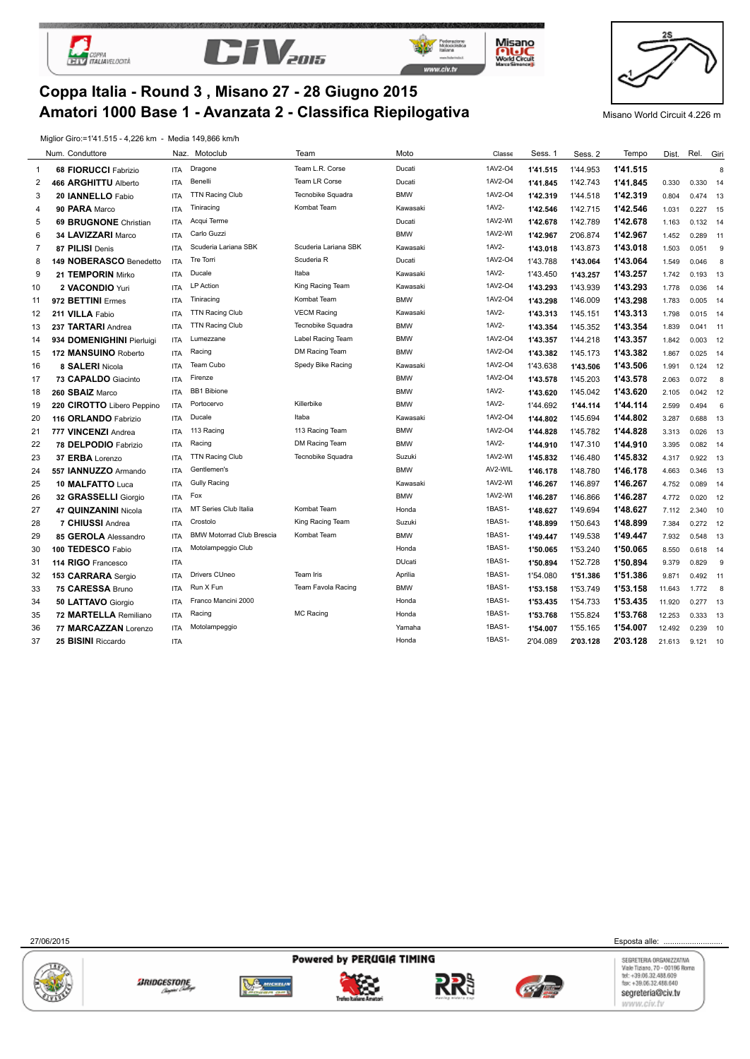

 $\overline{a}$ 



**Coppa Italia - Round 3 , Misano 27 - 28 Giugno 2015**



Misano **Mode Creat** 



**Amatori 1000 Base 1 - Avanzata 2 - Classifica Riepilogativa** Misano World Circuit 4.226 m

Miglior Giro:=1'41.515 - 4,226 km - Media 149,866 km/h

|                | Num. Conduttore            | Naz.       | Motoclub                         | Team                 | Moto          | Classe  | Sess. 1  | Sess. 2  | Tempo    | Dist.  | Rel.       | Giri |
|----------------|----------------------------|------------|----------------------------------|----------------------|---------------|---------|----------|----------|----------|--------|------------|------|
| $\mathbf{1}$   | 68 FIORUCCI Fabrizio       | <b>ITA</b> | Dragone                          | Team L.R. Corse      | Ducati        | 1AV2-04 | 1'41.515 | 1'44.953 | 1'41.515 |        |            | 8    |
| $\overline{2}$ | 466 ARGHITTU Alberto       | <b>ITA</b> | Benelli                          | Team LR Corse        | Ducati        | 1AV2-04 | 1'41.845 | 1'42.743 | 1'41.845 | 0.330  | 0.330 14   |      |
| 3              | 20 IANNELLO Fabio          | <b>ITA</b> | <b>TTN Racing Club</b>           | Tecnobike Squadra    | <b>BMW</b>    | 1AV2-O4 | 1'42.319 | 1'44.518 | 1'42.319 | 0.804  | $0.474$ 13 |      |
| 4              | 90 PARA Marco              | <b>ITA</b> | Tiniracing                       | Kombat Team          | Kawasaki      | 1AV2-   | 1'42.546 | 1'42.715 | 1'42.546 | 1.031  | 0.227      | 15   |
| 5              | 69 BRUGNONE Christian      | <b>ITA</b> | Acqui Terme                      |                      | Ducati        | 1AV2-WI | 1'42.678 | 1'42.789 | 1'42.678 | 1.163  | $0.132$ 14 |      |
| 6              | 34 LAVIZZARI Marco         | <b>ITA</b> | Carlo Guzzi                      |                      | <b>BMW</b>    | 1AV2-WI | 1'42.967 | 2'06.874 | 1'42.967 | 1.452  | 0.289      | 11   |
| 7              | 87 PILISI Denis            | <b>ITA</b> | Scuderia Lariana SBK             | Scuderia Lariana SBK | Kawasaki      | 1AV2-   | 1'43.018 | 1'43.873 | 1'43.018 | 1.503  | 0.051      | 9    |
| 8              | 149 NOBERASCO Benedetto    | <b>ITA</b> | Tre Torri                        | Scuderia R           | Ducati        | 1AV2-O4 | 1'43.788 | 1'43.064 | 1'43.064 | 1.549  | 0.046      | 8    |
| 9              | 21 TEMPORIN Mirko          | <b>ITA</b> | Ducale                           | Itaba                | Kawasaki      | 1AV2-   | 1'43.450 | 1'43.257 | 1'43.257 | 1.742  | 0.193      | 13   |
| 10             | 2 VACONDIO Yuri            | <b>ITA</b> | <b>LP</b> Action                 | King Racing Team     | Kawasaki      | 1AV2-04 | 1'43.293 | 1'43.939 | 1'43.293 | 1.778  | 0.036      | 14   |
| 11             | 972 BETTINI Ermes          | <b>ITA</b> | Tiniracing                       | Kombat Team          | <b>BMW</b>    | 1AV2-04 | 1'43.298 | 1'46.009 | 1'43.298 | 1.783  | $0.005$ 14 |      |
| 12             | 211 VILLA Fabio            | <b>ITA</b> | <b>TTN Racing Club</b>           | <b>VECM Racing</b>   | Kawasaki      | 1AV2-   | 1'43.313 | 1'45.151 | 1'43.313 | 1.798  | $0.015$ 14 |      |
| 13             | 237 TARTARI Andrea         | <b>ITA</b> | <b>TTN Racing Club</b>           | Tecnobike Squadra    | <b>BMW</b>    | 1AV2-   | 1'43.354 | 1'45.352 | 1'43.354 | 1.839  | $0.041$ 11 |      |
| 14             | 934 DOMENIGHINI Pierluigi  | <b>ITA</b> | Lumezzane                        | Label Racing Team    | <b>BMW</b>    | 1AV2-O4 | 1'43.357 | 1'44.218 | 1'43.357 | 1.842  | $0.003$ 12 |      |
| 15             | 172 MANSUINO Roberto       | <b>ITA</b> | Racing                           | DM Racing Team       | <b>BMW</b>    | 1AV2-04 | 1'43.382 | 1'45.173 | 1'43.382 | 1.867  | $0.025$ 14 |      |
| 16             | 8 SALERI Nicola            | <b>ITA</b> | Team Cubo                        | Spedy Bike Racing    | Kawasaki      | 1AV2-O4 | 1'43.638 | 1'43.506 | 1'43.506 | 1.991  | $0.124$ 12 |      |
| 17             | 73 CAPALDO Giacinto        | <b>ITA</b> | Firenze                          |                      | <b>BMW</b>    | 1AV2-04 | 1'43.578 | 1'45.203 | 1'43.578 | 2.063  | 0.072      | 8    |
| 18             | 260 SBAIZ Marco            | <b>ITA</b> | <b>BB1 Bibione</b>               |                      | <b>BMW</b>    | 1AV2-   | 1'43.620 | 1'45.042 | 1'43.620 | 2.105  | $0.042$ 12 |      |
| 19             | 220 CIROTTO Libero Peppino | <b>ITA</b> | Portocervo                       | Killerbike           | <b>BMW</b>    | 1AV2-   | 1'44.692 | 1'44.114 | 1'44.114 | 2.599  | 0.494      | 6    |
| 20             | 116 ORLANDO Fabrizio       | <b>ITA</b> | Ducale                           | Itaba                | Kawasaki      | 1AV2-O4 | 1'44.802 | 1'45.694 | 1'44.802 | 3.287  | 0.688      | - 13 |
| 21             | 777 VINCENZI Andrea        | <b>ITA</b> | 113 Racing                       | 113 Racing Team      | <b>BMW</b>    | 1AV2-04 | 1'44.828 | 1'45.782 | 1'44.828 | 3.313  | 0.026      | - 13 |
| 22             | 78 DELPODIO Fabrizio       | <b>ITA</b> | Racing                           | DM Racing Team       | <b>BMW</b>    | 1AV2-   | 1'44.910 | 1'47.310 | 1'44.910 | 3.395  | $0.082$ 14 |      |
| 23             | 37 ERBA Lorenzo            | <b>ITA</b> | <b>TTN Racing Club</b>           | Tecnobike Squadra    | Suzuki        | 1AV2-WI | 1'45.832 | 1'46.480 | 1'45.832 | 4.317  | 0.922 13   |      |
| 24             | 557 IANNUZZO Armando       | <b>ITA</b> | Gentlemen's                      |                      | <b>BMW</b>    | AV2-WIL | 1'46.178 | 1'48.780 | 1'46.178 | 4.663  | 0.346      | 13   |
| 25             | 10 MALFATTO Luca           | <b>ITA</b> | <b>Gully Racing</b>              |                      | Kawasaki      | 1AV2-WI | 1'46.267 | 1'46.897 | 1'46.267 | 4.752  | 0.089      | 14   |
| 26             | 32 GRASSELLI Giorgio       | <b>ITA</b> | Fox                              |                      | <b>BMW</b>    | 1AV2-WI | 1'46.287 | 1'46.866 | 1'46.287 | 4.772  | 0.020      | 12   |
| 27             | 47 QUINZANINI Nicola       | <b>ITA</b> | MT Series Club Italia            | Kombat Team          | Honda         | 1BAS1-  | 1'48.627 | 1'49.694 | 1'48.627 | 7.112  | 2.340      | 10   |
| 28             | 7 CHIUSSI Andrea           | <b>ITA</b> | Crostolo                         | King Racing Team     | Suzuki        | 1BAS1-  | 1'48.899 | 1'50.643 | 1'48.899 | 7.384  | $0.272$ 12 |      |
| 29             | 85 GEROLA Alessandro       | <b>ITA</b> | <b>BMW Motorrad Club Brescia</b> | Kombat Team          | <b>BMW</b>    | 1BAS1-  | 1'49.447 | 1'49.538 | 1'49.447 | 7.932  | 0.548 13   |      |
| 30             | 100 TEDESCO Fabio          | <b>ITA</b> | Motolampeggio Club               |                      | Honda         | 1BAS1-  | 1'50.065 | 1'53.240 | 1'50.065 | 8.550  | 0.618 14   |      |
| 31             | 114 RIGO Francesco         | <b>ITA</b> |                                  |                      | <b>DUcati</b> | 1BAS1-  | 1'50.894 | 1'52.728 | 1'50.894 | 9.379  | 0.829      | 9    |
| 32             | 153 CARRARA Sergio         | <b>ITA</b> | <b>Drivers CUneo</b>             | Team Iris            | Aprilia       | 1BAS1-  | 1'54.080 | 1'51.386 | 1'51.386 | 9.871  | $0.492$ 11 |      |
| 33             | 75 CARESSA Bruno           | <b>ITA</b> | Run X Fun                        | Team Favola Racing   | <b>BMW</b>    | 1BAS1-  | 1'53.158 | 1'53.749 | 1'53.158 | 11.643 | 1.772      | 8    |
| 34             | 50 LATTAVO Giorgio         | <b>ITA</b> | Franco Mancini 2000              |                      | Honda         | 1BAS1-  | 1'53.435 | 1'54.733 | 1'53.435 | 11.920 | $0.277$ 13 |      |
| 35             | 72 MARTELLA Remiliano      | <b>ITA</b> | Racing                           | <b>MC Racing</b>     | Honda         | 1BAS1-  | 1'53.768 | 1'55.824 | 1'53.768 | 12.253 | 0.333 13   |      |
| 36             | 77 MARCAZZAN Lorenzo       | <b>ITA</b> | Motolampeggio                    |                      | Yamaha        | 1BAS1-  | 1'54.007 | 1'55.165 | 1'54.007 | 12.492 | 0.239      | 10   |
| 37             | 25 BISINI Riccardo         | <b>ITA</b> |                                  |                      | Honda         | 1BAS1-  | 2'04.089 | 2'03.128 | 2'03.128 | 21.613 | 9.121      | 10   |

27/06/2015 Esposta alle: ...........................











SEGRETERIA ORGANIZZATIVA<br>Viale Tizlano, 70 - 00196 Roma<br>tel: +39.06.32.488.609<br>fax: +39.06.32.488.640 segreteria@civ.tv www.civ.tv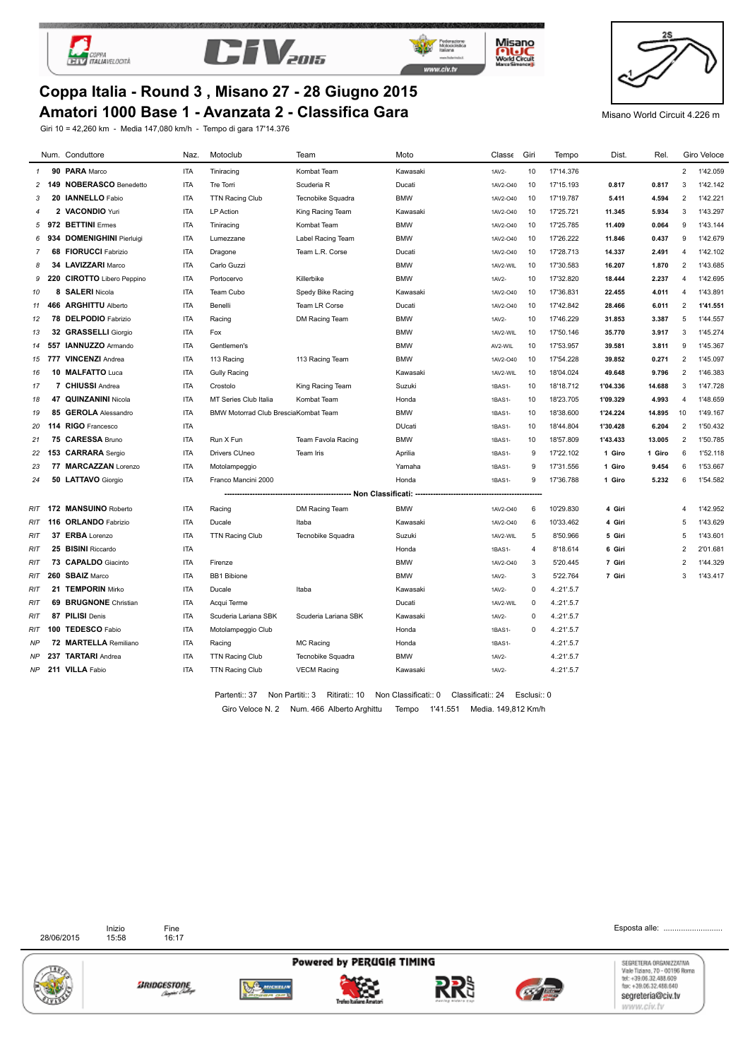





Misano

**Mulciple** 



### **Amatori 1000 Base 1 - Avanzata 2 - Classifica Gara** Misano World Circuit 4.226 m **Coppa Italia - Round 3 , Misano 27 - 28 Giugno 2015**

Giri 10 = 42,260 km - Media 147,080 km/h - Tempo di gara 17'14.376

|     | Num. Conduttore              | Naz.       | Motoclub                             | Team                 | Moto          | Classe   | Giri           | Tempo      | Dist.    | Rel.   |                | Giro Veloce |
|-----|------------------------------|------------|--------------------------------------|----------------------|---------------|----------|----------------|------------|----------|--------|----------------|-------------|
| 1   | 90 PARA Marco                | <b>ITA</b> | Tiniracing                           | Kombat Team          | Kawasaki      | 1AV2-    | 10             | 17'14.376  |          |        | $\overline{2}$ | 1'42.059    |
| 2   | 149 NOBERASCO Benedetto      | <b>ITA</b> | Tre Torri                            | Scuderia R           | Ducati        | 1AV2-040 | 10             | 17'15.193  | 0.817    | 0.817  | 3              | 1'42.142    |
| 3   | 20 IANNELLO Fabio            | <b>ITA</b> | <b>TTN Racing Club</b>               | Tecnobike Squadra    | <b>BMW</b>    | 1AV2-040 | -10            | 17'19.787  | 5.411    | 4.594  | $\overline{2}$ | 1'42.221    |
| 4   | 2 VACONDIO Yuri              | <b>ITA</b> | <b>LP Action</b>                     | King Racing Team     | Kawasaki      | 1AV2-040 | 10             | 17'25.721  | 11.345   | 5.934  | 3              | 1'43.297    |
| 5   | 972 BETTINI Ermes            | <b>ITA</b> | Tiniracing                           | Kombat Team          | <b>BMW</b>    | 1AV2-040 | 10             | 17'25.785  | 11.409   | 0.064  | 9              | 1'43.144    |
| 6   | 934 DOMENIGHINI Pierluigi    | <b>ITA</b> | Lumezzane                            | Label Racing Team    | <b>BMW</b>    | 1AV2-040 | 10             | 17'26.222  | 11.846   | 0.437  | 9              | 1'42.679    |
| 7   | <b>68 FIORUCCI Fabrizio</b>  | <b>ITA</b> | Dragone                              | Team L.R. Corse      | Ducati        | 1AV2-040 | 10             | 17'28.713  | 14.337   | 2.491  | 4              | 1'42.102    |
| 8   | 34 LAVIZZARI Marco           | <b>ITA</b> | Carlo Guzzi                          |                      | <b>BMW</b>    | 1AV2-WIL | 10             | 17'30.583  | 16.207   | 1.870  | $\overline{2}$ | 1'43.685    |
| 9   | 220 CIROTTO Libero Peppino   | <b>ITA</b> | Portocervo                           | Killerbike           | <b>BMW</b>    | 1AV2-    | 10             | 17'32.820  | 18.444   | 2.237  | 4              | 1'42.695    |
| 10  | 8 SALERI Nicola              | ITA        | Team Cubo                            | Spedy Bike Racing    | Kawasaki      | 1AV2-040 | 10             | 17'36.831  | 22.455   | 4.011  | 4              | 1'43.891    |
| 11  | 466 ARGHITTU Alberto         | <b>ITA</b> | Benelli                              | <b>Team LR Corse</b> | Ducati        | 1AV2-040 | 10             | 17'42.842  | 28.466   | 6.011  | 2              | 1'41.551    |
| 12  | 78 DELPODIO Fabrizio         | <b>ITA</b> | Racing                               | DM Racing Team       | <b>BMW</b>    | 1AV2-    | 10             | 17'46.229  | 31.853   | 3.387  | 5              | 1'44.557    |
| 13  | 32 GRASSELLI Giorgio         | <b>ITA</b> | Fox                                  |                      | <b>BMW</b>    | 1AV2-WIL | 10             | 17'50.146  | 35.770   | 3.917  | 3              | 1'45.274    |
| 14  | 557 IANNUZZO Armando         | <b>ITA</b> | Gentlemen's                          |                      | <b>BMW</b>    | AV2-WIL  | 10             | 17'53.957  | 39.581   | 3.811  | 9              | 1'45.367    |
| 15  | 777 VINCENZI Andrea          | <b>ITA</b> | 113 Racing                           | 113 Racing Team      | <b>BMW</b>    | 1AV2-040 | 10             | 17'54.228  | 39.852   | 0.271  | 2              | 1'45.097    |
| 16  | 10 MALFATTO Luca             | <b>ITA</b> | <b>Gully Racing</b>                  |                      | Kawasaki      | 1AV2-WIL | 10             | 18'04.024  | 49.648   | 9.796  | 2              | 1'46.383    |
| 17  | 7 CHIUSSI Andrea             | <b>ITA</b> | Crostolo                             | King Racing Team     | Suzuki        | 1BAS1-   | 10             | 18'18.712  | 1'04.336 | 14.688 | 3              | 1'47.728    |
| 18  | 47 QUINZANINI Nicola         | <b>ITA</b> | MT Series Club Italia                | Kombat Team          | Honda         | 1BAS1-   | 10             | 18'23.705  | 1'09.329 | 4.993  | $\overline{4}$ | 1'48.659    |
| 19  | 85 GEROLA Alessandro         | <b>ITA</b> | BMW Motorrad Club BresciaKombat Team |                      | <b>BMW</b>    | 1BAS1-   | 10             | 18'38.600  | 1'24.224 | 14.895 | 10             | 1'49.167    |
| 20  | 114 RIGO Francesco           | <b>ITA</b> |                                      |                      | <b>DUcati</b> | 1BAS1-   | 10             | 18'44.804  | 1'30.428 | 6.204  | 2              | 1'50.432    |
| 21  | 75 CARESSA Bruno             | <b>ITA</b> | Run X Fun                            | Team Favola Racing   | <b>BMW</b>    | 1BAS1-   | 10             | 18'57.809  | 1'43.433 | 13.005 | 2              | 1'50.785    |
| 22  | 153 CARRARA Sergio           | <b>ITA</b> | Drivers CUneo                        | Team Iris            | Aprilia       | 1BAS1-   | 9              | 17'22.102  | 1 Giro   | 1 Giro | 6              | 1'52.118    |
| 23  | 77 MARCAZZAN Lorenzo         | <b>ITA</b> | Motolampeggio                        |                      | Yamaha        | 1BAS1-   | 9              | 17'31.556  | 1 Giro   | 9.454  | 6              | 1'53.667    |
| 24  | 50 LATTAVO Giorgio           | <b>ITA</b> | Franco Mancini 2000                  |                      | Honda         | 1BAS1-   | 9              | 17'36.788  | 1 Giro   | 5.232  | 6              | 1'54.582    |
|     |                              |            |                                      |                      |               |          |                |            |          |        |                |             |
|     | RIT 172 MANSUINO Roberto     | <b>ITA</b> | Racing                               | DM Racing Team       | <b>BMW</b>    | 1AV2-040 | 6              | 10'29.830  | 4 Giri   |        | $\overline{4}$ | 1'42.952    |
|     | RIT 116 ORLANDO Fabrizio     | <b>ITA</b> | Ducale                               | Itaba                | Kawasaki      | 1AV2-O40 | 6              | 10'33.462  | 4 Giri   |        | 5              | 1'43.629    |
| RIT | 37 ERBA Lorenzo              | <b>ITA</b> | <b>TTN Racing Club</b>               | Tecnobike Squadra    | Suzuki        | 1AV2-WIL | 5              | 8'50.966   | 5 Giri   |        | 5              | 1'43.601    |
| RIT | 25 BISINI Riccardo           | <b>ITA</b> |                                      |                      | Honda         | 1BAS1-   | $\overline{4}$ | 8'18.614   | 6 Giri   |        | $\overline{2}$ | 2'01.681    |
| RIT | 73 CAPALDO Giacinto          | <b>ITA</b> | Firenze                              |                      | <b>BMW</b>    | 1AV2-O40 | 3              | 5'20.445   | 7 Giri   |        | $\overline{2}$ | 1'44.329    |
| RIT | 260 SBAIZ Marco              | <b>ITA</b> | <b>BB1 Bibione</b>                   |                      | <b>BMW</b>    | 1AV2-    | 3              | 5'22.764   | 7 Giri   |        | 3              | 1'43.417    |
| RIT | 21 TEMPORIN Mirko            | <b>ITA</b> | Ducale                               | Itaba                | Kawasaki      | 1AV2-    | $\mathbf 0$    | 4.:21'.5.7 |          |        |                |             |
| RIT | <b>69 BRUGNONE</b> Christian | <b>ITA</b> | Acqui Terme                          |                      | Ducati        | 1AV2-WIL | $\mathbf 0$    | 4.:21'.5.7 |          |        |                |             |
| RIT | 87 PILISI Denis              | <b>ITA</b> | Scuderia Lariana SBK                 | Scuderia Lariana SBK | Kawasaki      | 1AV2-    | $\mathbf 0$    | 4.21' .5.7 |          |        |                |             |
| RIT | 100 TEDESCO Fabio            | <b>ITA</b> | Motolampeggio Club                   |                      | Honda         | 1BAS1-   | $\mathbf 0$    | 4.:21'.5.7 |          |        |                |             |
| NP  | 72 MARTELLA Remiliano        | <b>ITA</b> | Racing                               | <b>MC Racing</b>     | Honda         | 1BAS1-   |                | 4.:21'.5.7 |          |        |                |             |
| ΝP  | 237 TARTARI Andrea           | <b>ITA</b> | <b>TTN Racing Club</b>               | Tecnobike Squadra    | <b>BMW</b>    | 1AV2-    |                | 4.:21'.5.7 |          |        |                |             |
| ΝP  | 211 VILLA Fabio              | <b>ITA</b> | <b>TTN Racing Club</b>               | <b>VECM Racing</b>   | Kawasaki      | 1AV2-    |                | 4.:21'.5.7 |          |        |                |             |
|     |                              |            |                                      |                      |               |          |                |            |          |        |                |             |

Giro Veloce N. 2 Num. 466 Alberto Arghittu Tempo 1'41.551 Media. 149,812 Km/h Partenti:: 37 Non Partiti:: 3 Ritirati:: 10 Non Classificati:: 0 Classificati:: 24 Esclusi:: 0

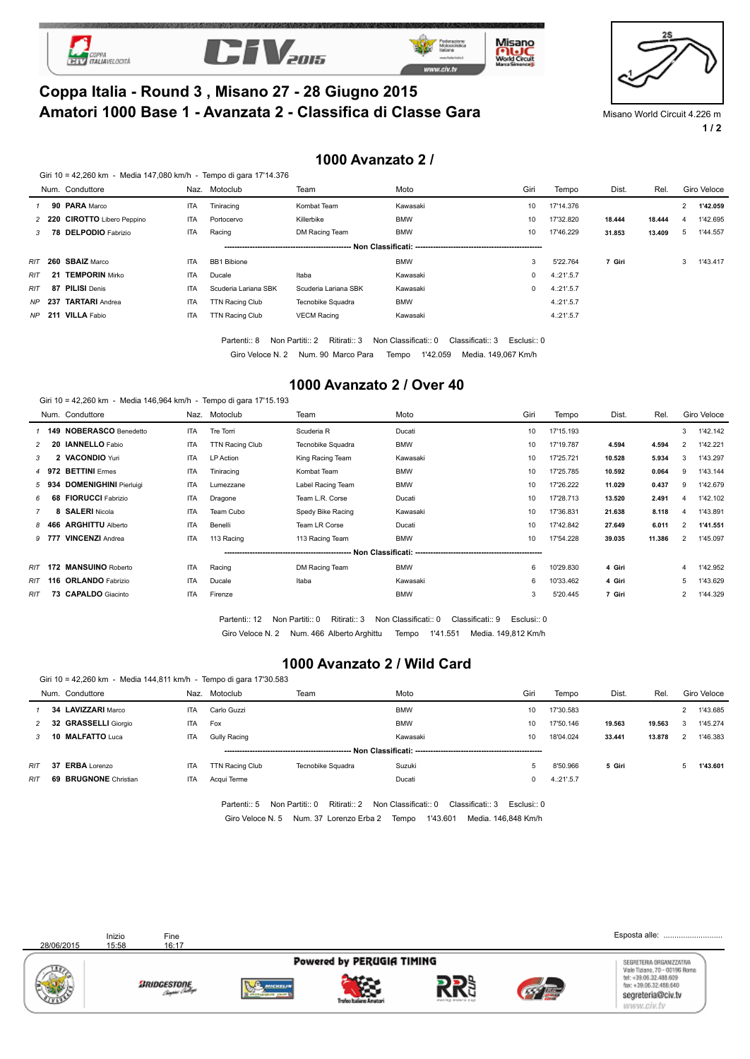







# **Amatori 1000 Base 1 - Avanzata 2 - Classifica di Classe Gara** Misano World Circuit 4.226 m **Coppa Italia - Round 3 , Misano 27 - 28 Giugno 2015**

**1 / 2**

#### **1000 Avanzato 2 /**

|  |  | Giri 10 = 42,260 km - Media 147,080 km/h - Tempo di gara 17'14.376 |
|--|--|--------------------------------------------------------------------|
|--|--|--------------------------------------------------------------------|

|     | Num. Conduttore              |            | Naz. Motoclub          | Team                  | Moto       | Giri | Tempo      | Dist.  | Rel.   |   | Giro Veloce |
|-----|------------------------------|------------|------------------------|-----------------------|------------|------|------------|--------|--------|---|-------------|
|     | 90 PARA Marco                | ITA        | Tiniracing             | Kombat Team           | Kawasaki   | 10   | 17'14.376  |        |        |   | 1'42.059    |
|     | 2 220 CIROTTO Libero Peppino | <b>ITA</b> | Portocervo             | Killerbike            | <b>BMW</b> | 10   | 17'32.820  | 18.444 | 18.444 | 4 | 1'42.695    |
|     | 3 78 DELPODIO Fabrizio       | ITA        | Racing                 | DM Racing Team        | <b>BMW</b> | 10   | 17'46.229  | 31.853 | 13.409 | 5 | 1'44.557    |
|     |                              |            |                        | Non Classificati: --- |            |      |            |        |        |   |             |
|     | RIT 260 SBAIZ Marco          | <b>ITA</b> | <b>BB1 Bibione</b>     |                       | <b>BMW</b> | 3    | 5'22.764   | 7 Giri |        |   | 1'43.417    |
| RIT | 21 TEMPORIN Mirko            | <b>ITA</b> | Ducale                 | Itaba                 | Kawasaki   |      | 4.21' .5.7 |        |        |   |             |
| RIT | 87 PILISI Denis              | <b>ITA</b> | Scuderia Lariana SBK   | Scuderia Lariana SBK  | Kawasaki   |      | 4.21' .5.7 |        |        |   |             |
|     | NP 237 TARTARI Andrea        | ITA        | <b>TTN Racing Club</b> | Tecnobike Squadra     | <b>BMW</b> |      | 4:21'.5.7  |        |        |   |             |
|     | NP 211 VILLA Fabio           | <b>ITA</b> | TTN Racing Club        | <b>VECM Racing</b>    | Kawasaki   |      | 4:21'.5.7  |        |        |   |             |
|     |                              |            |                        |                       |            |      |            |        |        |   |             |

Partenti:: 8 Non Partiti:: 2 Ritirati:: 3 Non Classificati:: 0 Classificati:: 3 Esclusi:: 0

Giro Veloce N. 2 Num. 90 Marco Para Tempo 1'42.059 Media. 149,067 Km/h

#### **1000 Avanzato 2 / Over 40**

|     |       | Giri 10 = 42,260 km - Media 146,964 km/h - Tempo di gara 17'15.193 |            |                        |                   |            |      |           |        |        |                |             |
|-----|-------|--------------------------------------------------------------------|------------|------------------------|-------------------|------------|------|-----------|--------|--------|----------------|-------------|
|     |       | Num. Conduttore                                                    | Naz.       | Motoclub               | Team              | Moto       | Giri | Tempo     | Dist.  | Rel.   |                | Giro Veloce |
|     |       | 1 149 NOBERASCO Benedetto                                          | <b>ITA</b> | Tre Torri              | Scuderia R        | Ducati     | 10   | 17'15.193 |        |        | 3              | 1'42.142    |
|     |       | 20 IANNELLO Fabio                                                  | <b>ITA</b> | <b>TTN Racing Club</b> | Tecnobike Squadra | <b>BMW</b> | 10   | 17'19.787 | 4.594  | 4.594  | $\overline{2}$ | 1'42.221    |
| 3   |       | 2 VACONDIO Yuri                                                    | <b>ITA</b> | LP Action              | King Racing Team  | Kawasaki   | 10   | 17'25.721 | 10.528 | 5.934  | 3              | 1'43.297    |
|     |       | 4 972 BETTINI Ermes                                                | <b>ITA</b> | Tiniracing             | Kombat Team       | <b>BMW</b> | 10   | 17'25.785 | 10.592 | 0.064  | 9              | 1'43.144    |
|     | 5 934 | <b>DOMENIGHINI Pierluigi</b>                                       | <b>ITA</b> | Lumezzane              | Label Racing Team | <b>BMW</b> | 10   | 17'26.222 | 11.029 | 0.437  | 9              | 1'42.679    |
| 6   |       | 68 FIORUCCI Fabrizio                                               | <b>ITA</b> | Dragone                | Team L.R. Corse   | Ducati     | 10   | 17'28.713 | 13.520 | 2.491  | $\overline{4}$ | 1'42.102    |
|     |       | 8 SALERI Nicola                                                    | <b>ITA</b> | Team Cubo              | Spedy Bike Racing | Kawasaki   | 10   | 17'36.831 | 21.638 | 8.118  | 4              | 1'43.891    |
|     |       | 8 466 ARGHITTU Alberto                                             | <b>ITA</b> | Benelli                | Team LR Corse     | Ducati     | 10   | 17'42.842 | 27.649 | 6.011  | $\overline{2}$ | 1'41.551    |
|     | 9 777 | <b>VINCENZI Andrea</b>                                             | <b>ITA</b> | 113 Racing             | 113 Racing Team   | <b>BMW</b> | 10   | 17'54.228 | 39.035 | 11.386 | $\overline{2}$ | 1'45.097    |
|     |       |                                                                    |            |                        |                   |            |      |           |        |        |                |             |
|     |       | RIT 172 MANSUINO Roberto                                           | <b>ITA</b> | Racing                 | DM Racing Team    | <b>BMW</b> | 6    | 10'29.830 | 4 Giri |        | 4              | 1'42.952    |
|     |       | RIT 116 ORLANDO Fabrizio                                           | <b>ITA</b> | Ducale                 | Itaba             | Kawasaki   | 6    | 10'33.462 | 4 Giri |        | 5              | 1'43.629    |
| RIT |       | 73 CAPALDO Giacinto                                                | <b>ITA</b> | Firenze                |                   | <b>BMW</b> | 3    | 5'20.445  | 7 Giri |        |                | 1'44.329    |
|     |       |                                                                    |            |                        |                   |            |      |           |        |        |                |             |

Giro Veloce N. 2 Num. 466 Alberto Arghittu Tempo 1'41.551 Media. 149,812 Km/h Partenti:: 12 Non Partiti:: 0 Ritirati:: 3 Non Classificati:: 0 Classificati:: 9 Esclusi:: 0

#### **1000 Avanzato 2 / Wild Card**

|     |   | Giri 10 = 42,260 km - Media 144,811 km/h - Tempo di gara 17'30.583 |            |                 |                      |            |      |           |        |        |             |
|-----|---|--------------------------------------------------------------------|------------|-----------------|----------------------|------------|------|-----------|--------|--------|-------------|
|     |   | Num. Conduttore                                                    | Naz.       | Motoclub        | Team                 | Moto       | Giri | Tempo     | Dist.  | Rel.   | Giro Veloce |
|     |   | 34 LAVIZZARI Marco                                                 | <b>ITA</b> | Carlo Guzzi     |                      | <b>BMW</b> | 10   | 17'30.583 |        |        | 1'43.685    |
|     |   | 2 32 GRASSELLI Giorgio                                             | <b>ITA</b> | Fox             |                      | <b>BMW</b> | 10   | 17'50.146 | 19.563 | 19.563 | 1'45.274    |
|     | 3 | 10 MALFATTO Luca                                                   | <b>ITA</b> | Gully Racing    |                      | Kawasaki   | 10   | 18'04.024 | 33.441 | 13.878 | 1'46.383    |
|     |   |                                                                    |            |                 | Non Classificati: -- |            |      |           |        |        |             |
| RIT |   | 37 ERBA Lorenzo                                                    | <b>ITA</b> | TTN Racing Club | Tecnobike Squadra    | Suzuki     |      | 8'50.966  | 5 Giri |        | 1'43.601    |
| RIT |   | <b>69 BRUGNONE</b> Christian                                       | <b>ITA</b> | Acqui Terme     |                      | Ducati     |      | 4:21'.5.7 |        |        |             |
|     |   |                                                                    |            |                 |                      |            |      |           |        |        |             |

Giro Veloce N. 5 Num. 37 Lorenzo Erba 2 Tempo 1'43.601 Media. 146,848 Km/h Partenti:: 5 Non Partiti:: 0 Ritirati:: 2 Non Classificati:: 0 Classificati:: 3 Esclusi:: 0